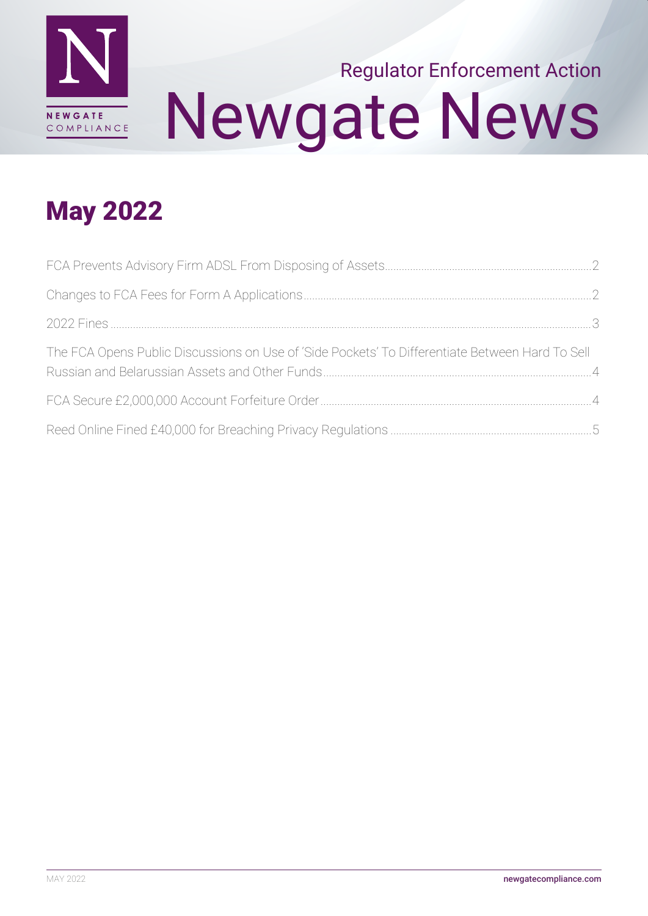

# Newgate News Regulator Enforcement Action

# May 2022

| The FCA Opens Public Discussions on Use of 'Side Pockets' To Differentiate Between Hard To Sell |  |
|-------------------------------------------------------------------------------------------------|--|
|                                                                                                 |  |
|                                                                                                 |  |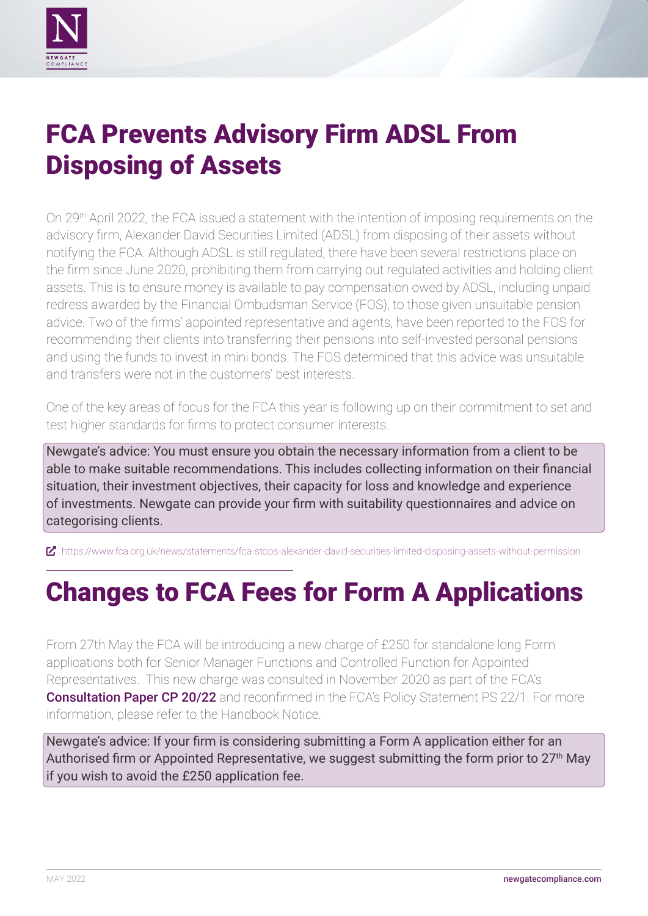<span id="page-1-0"></span>

#### FCA Prevents Advisory Firm ADSL From Disposing of Assets

On 29th April 2022, the FCA issued a statement with the intention of imposing requirements on the advisory firm, Alexander David Securities Limited (ADSL) from disposing of their assets without notifying the FCA. Although ADSL is still regulated, there have been several restrictions place on the firm since June 2020, prohibiting them from carrying out regulated activities and holding client assets. This is to ensure money is available to pay compensation owed by ADSL, including unpaid redress awarded by the Financial Ombudsman Service (FOS), to those given unsuitable pension advice. Two of the firms' appointed representative and agents, have been reported to the FOS for recommending their clients into transferring their pensions into self-invested personal pensions and using the funds to invest in mini bonds. The FOS determined that this advice was unsuitable and transfers were not in the customers' best interests.

One of the key areas of focus for the FCA this year is following up on their commitment to set and test higher standards for firms to protect consumer interests.

Newgate's advice: You must ensure you obtain the necessary information from a client to be able to make suitable recommendations. This includes collecting information on their financial situation, their investment objectives, their capacity for loss and knowledge and experience of investments. Newgate can provide your firm with suitability questionnaires and advice on categorising clients.

ȧ <https://www.fca.org.uk/news/statements/fca-stops-alexander-david-securities-limited-disposing-assets-without-permission>

# Changes to FCA Fees for Form A Applications

From 27th May the FCA will be introducing a new charge of £250 for standalone long Form applications both for Senior Manager Functions and Controlled Function for Appointed Representatives. This new charge was consulted in November 2020 as part of the FCA's **[Consultation Paper CP 20/22](https://www.fca.org.uk/publication/consultation/cp20-22.pdf)** and reconfirmed in the FCA's Policy Statement PS 22/1. For more information, please refer to the Handbook Notice.

Newgate's advice: If your firm is considering submitting a Form A application either for an Authorised firm or Appointed Representative, we suggest submitting the form prior to  $27<sup>th</sup>$  May if you wish to avoid the £250 application fee.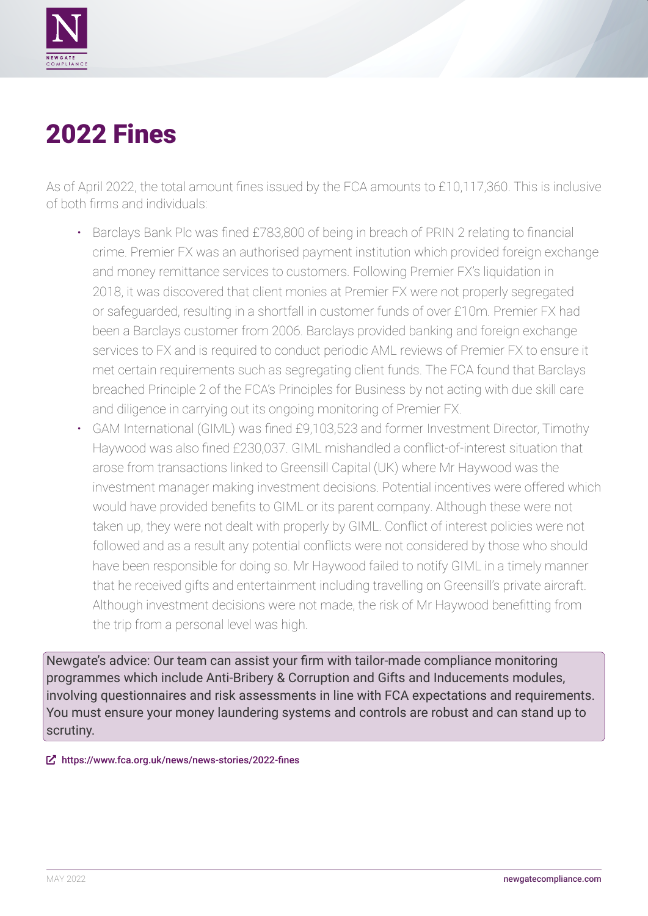<span id="page-2-0"></span>

### 2022 Fines

As of April 2022, the total amount fines issued by the FCA amounts to £10,117,360. This is inclusive of both firms and individuals:

- Barclays Bank Plc was fined £783,800 of being in breach of PRIN 2 relating to financial crime. Premier FX was an authorised payment institution which provided foreign exchange and money remittance services to customers. Following Premier FX's liquidation in 2018, it was discovered that client monies at Premier FX were not properly segregated or safeguarded, resulting in a shortfall in customer funds of over £10m. Premier FX had been a Barclays customer from 2006. Barclays provided banking and foreign exchange services to FX and is required to conduct periodic AML reviews of Premier FX to ensure it met certain requirements such as segregating client funds. The FCA found that Barclays breached Principle 2 of the FCA's Principles for Business by not acting with due skill care and diligence in carrying out its ongoing monitoring of Premier FX.
- GAM International (GIML) was fined £9,103,523 and former Investment Director, Timothy Haywood was also fined £230,037. GIML mishandled a conflict-of-interest situation that arose from transactions linked to Greensill Capital (UK) where Mr Haywood was the investment manager making investment decisions. Potential incentives were offered which would have provided benefits to GIML or its parent company. Although these were not taken up, they were not dealt with properly by GIML. Conflict of interest policies were not followed and as a result any potential conflicts were not considered by those who should have been responsible for doing so. Mr Haywood failed to notify GIML in a timely manner that he received gifts and entertainment including travelling on Greensill's private aircraft. Although investment decisions were not made, the risk of Mr Haywood benefitting from the trip from a personal level was high.

Newgate's advice: Our team can assist your firm with tailor-made compliance monitoring programmes which include Anti-Bribery & Corruption and Gifts and Inducements modules, involving questionnaires and risk assessments in line with FCA expectations and requirements. You must ensure your money laundering systems and controls are robust and can stand up to scrutiny.

ȧ <https://www.fca.org.uk/news/news-stories/2022-fines>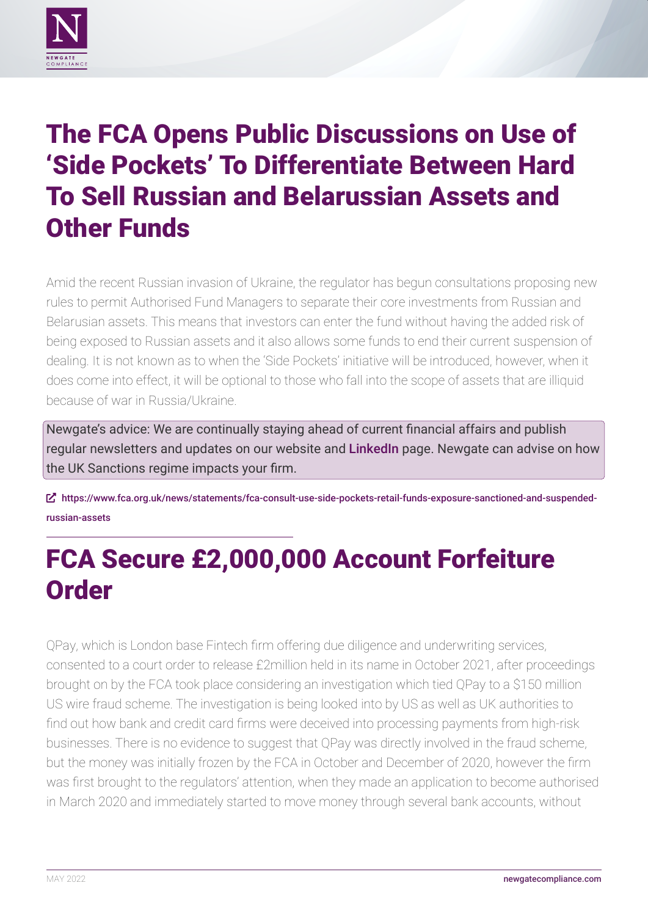<span id="page-3-0"></span>

#### The FCA Opens Public Discussions on Use of 'Side Pockets' To Differentiate Between Hard To Sell Russian and Belarussian Assets and Other Funds

Amid the recent Russian invasion of Ukraine, the regulator has begun consultations proposing new rules to permit Authorised Fund Managers to separate their core investments from Russian and Belarusian assets. This means that investors can enter the fund without having the added risk of being exposed to Russian assets and it also allows some funds to end their current suspension of dealing. It is not known as to when the 'Side Pockets' initiative will be introduced, however, when it does come into effect, it will be optional to those who fall into the scope of assets that are illiquid because of war in Russia/Ukraine.

Newgate's advice: We are continually staying ahead of current financial affairs and publish regular newsletters and updates on our website and [LinkedIn](https://www.linkedin.com/company/newgate-compliance-limited) page. Newgate can advise on how the UK Sanctions regime impacts your firm.

ȧ [https://www.fca.org.uk/news/statements/fca-consult-use-side-pockets-retail-funds-exposure-sanctioned-and-suspended](https://www.fca.org.uk/news/statements/fca-consult-use-side-pockets-retail-funds-exposure-sanctioned-and-suspended-russian-assets)[russian-assets](https://www.fca.org.uk/news/statements/fca-consult-use-side-pockets-retail-funds-exposure-sanctioned-and-suspended-russian-assets)

# FCA Secure £2,000,000 Account Forfeiture **Order**

QPay, which is London base Fintech firm offering due diligence and underwriting services, consented to a court order to release £2million held in its name in October 2021, after proceedings brought on by the FCA took place considering an investigation which tied QPay to a \$150 million US wire fraud scheme. The investigation is being looked into by US as well as UK authorities to find out how bank and credit card firms were deceived into processing payments from high-risk businesses. There is no evidence to suggest that QPay was directly involved in the fraud scheme, but the money was initially frozen by the FCA in October and December of 2020, however the firm was first brought to the regulators' attention, when they made an application to become authorised in March 2020 and immediately started to move money through several bank accounts, without